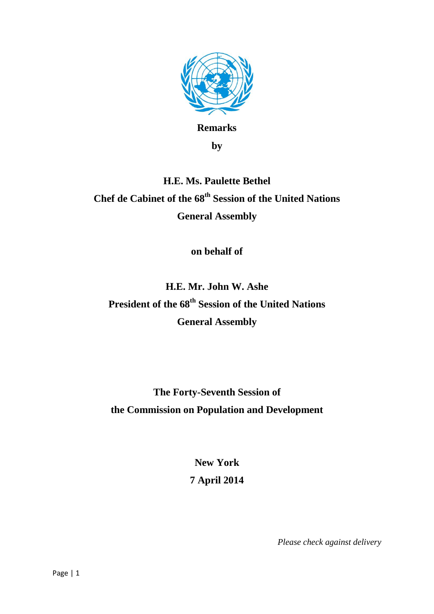

**Remarks**

**by**

## **H.E. Ms. Paulette Bethel Chef de Cabinet of the 68th Session of the United Nations General Assembly**

**on behalf of**

**H.E. Mr. John W. Ashe President of the 68th Session of the United Nations General Assembly**

**The Forty-Seventh Session of the Commission on Population and Development**

> **New York 7 April 2014**

> > *Please check against delivery*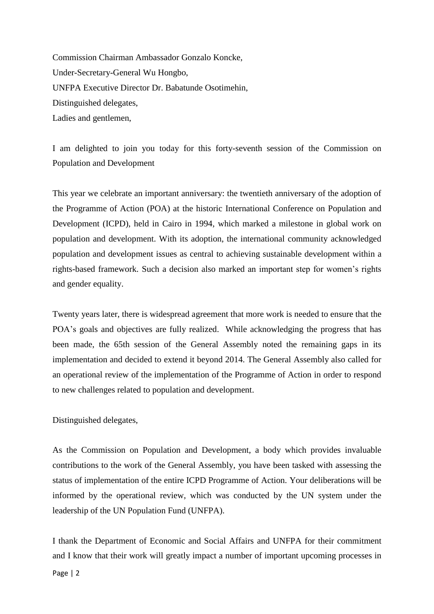Commission Chairman Ambassador Gonzalo Koncke, Under-Secretary-General Wu Hongbo, UNFPA Executive Director Dr. Babatunde Osotimehin, Distinguished delegates, Ladies and gentlemen,

I am delighted to join you today for this forty-seventh session of the Commission on Population and Development

This year we celebrate an important anniversary: the twentieth anniversary of the adoption of the Programme of Action (POA) at the historic International Conference on Population and Development (ICPD), held in Cairo in 1994, which marked a milestone in global work on population and development. With its adoption, the international community acknowledged population and development issues as central to achieving sustainable development within a rights-based framework. Such a decision also marked an important step for women's rights and gender equality.

Twenty years later, there is widespread agreement that more work is needed to ensure that the POA's goals and objectives are fully realized. While acknowledging the progress that has been made, the 65th session of the General Assembly noted the remaining gaps in its implementation and decided to extend it beyond 2014. The General Assembly also called for an operational review of the implementation of the Programme of Action in order to respond to new challenges related to population and development.

Distinguished delegates,

Page | 2

As the Commission on Population and Development, a body which provides invaluable contributions to the work of the General Assembly, you have been tasked with assessing the status of implementation of the entire ICPD Programme of Action. Your deliberations will be informed by the operational review, which was conducted by the UN system under the leadership of the UN Population Fund (UNFPA).

I thank the Department of Economic and Social Affairs and UNFPA for their commitment and I know that their work will greatly impact a number of important upcoming processes in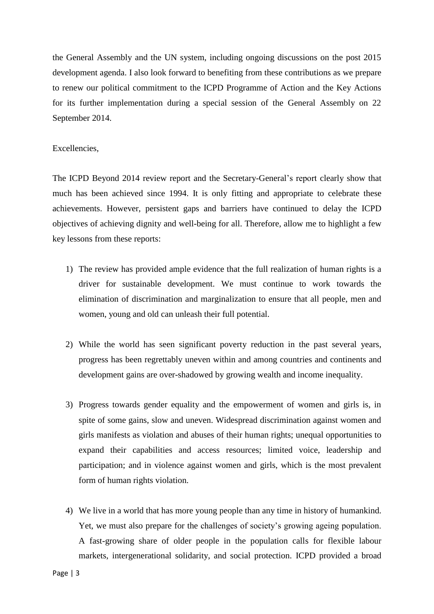the General Assembly and the UN system, including ongoing discussions on the post 2015 development agenda. I also look forward to benefiting from these contributions as we prepare to renew our political commitment to the ICPD Programme of Action and the Key Actions for its further implementation during a special session of the General Assembly on 22 September 2014.

## Excellencies,

The ICPD Beyond 2014 review report and the Secretary-General's report clearly show that much has been achieved since 1994. It is only fitting and appropriate to celebrate these achievements. However, persistent gaps and barriers have continued to delay the ICPD objectives of achieving dignity and well-being for all. Therefore, allow me to highlight a few key lessons from these reports:

- 1) The review has provided ample evidence that the full realization of human rights is a driver for sustainable development. We must continue to work towards the elimination of discrimination and marginalization to ensure that all people, men and women, young and old can unleash their full potential.
- 2) While the world has seen significant poverty reduction in the past several years, progress has been regrettably uneven within and among countries and continents and development gains are over-shadowed by growing wealth and income inequality.
- 3) Progress towards gender equality and the empowerment of women and girls is, in spite of some gains, slow and uneven. Widespread discrimination against women and girls manifests as violation and abuses of their human rights; unequal opportunities to expand their capabilities and access resources; limited voice, leadership and participation; and in violence against women and girls, which is the most prevalent form of human rights violation.
- 4) We live in a world that has more young people than any time in history of humankind. Yet, we must also prepare for the challenges of society's growing ageing population. A fast-growing share of older people in the population calls for flexible labour markets, intergenerational solidarity, and social protection. ICPD provided a broad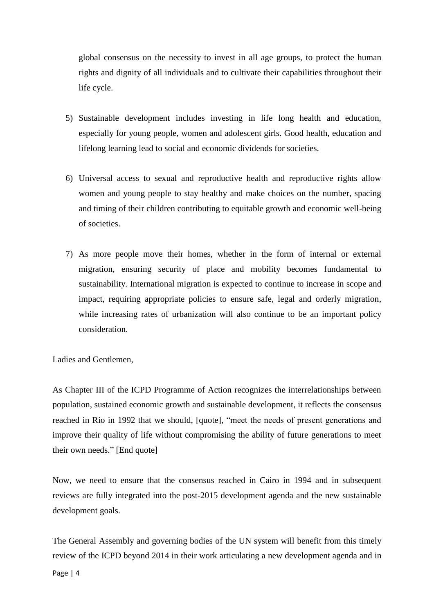global consensus on the necessity to invest in all age groups, to protect the human rights and dignity of all individuals and to cultivate their capabilities throughout their life cycle.

- 5) Sustainable development includes investing in life long health and education, especially for young people, women and adolescent girls. Good health, education and lifelong learning lead to social and economic dividends for societies.
- 6) Universal access to sexual and reproductive health and reproductive rights allow women and young people to stay healthy and make choices on the number, spacing and timing of their children contributing to equitable growth and economic well-being of societies.
- 7) As more people move their homes, whether in the form of internal or external migration, ensuring security of place and mobility becomes fundamental to sustainability. International migration is expected to continue to increase in scope and impact, requiring appropriate policies to ensure safe, legal and orderly migration, while increasing rates of urbanization will also continue to be an important policy consideration.

Ladies and Gentlemen,

As Chapter III of the ICPD Programme of Action recognizes the interrelationships between population, sustained economic growth and sustainable development, it reflects the consensus reached in Rio in 1992 that we should, [quote], "meet the needs of present generations and improve their quality of life without compromising the ability of future generations to meet their own needs." [End quote]

Now, we need to ensure that the consensus reached in Cairo in 1994 and in subsequent reviews are fully integrated into the post-2015 development agenda and the new sustainable development goals.

The General Assembly and governing bodies of the UN system will benefit from this timely review of the ICPD beyond 2014 in their work articulating a new development agenda and in